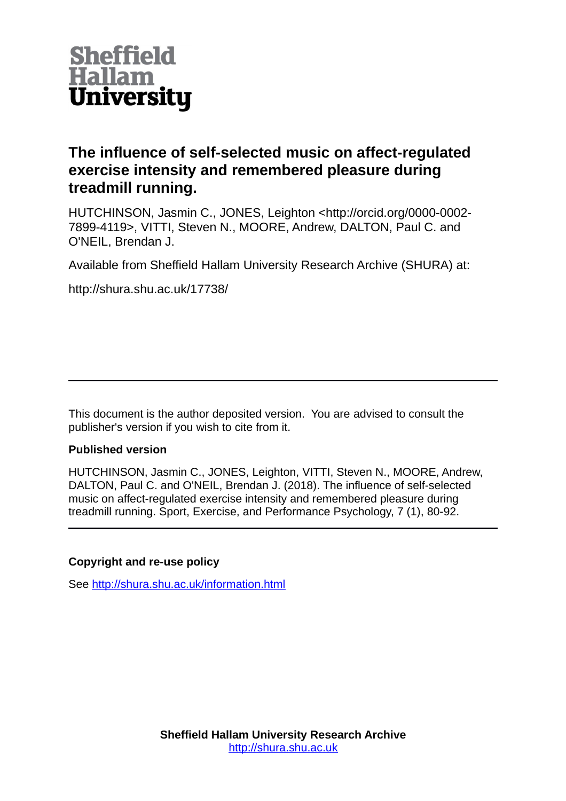

# **The influence of self-selected music on affect-regulated exercise intensity and remembered pleasure during treadmill running.**

HUTCHINSON, Jasmin C., JONES, Leighton <http://orcid.org/0000-0002- 7899-4119>, VITTI, Steven N., MOORE, Andrew, DALTON, Paul C. and O'NEIL, Brendan J.

Available from Sheffield Hallam University Research Archive (SHURA) at:

http://shura.shu.ac.uk/17738/

This document is the author deposited version. You are advised to consult the publisher's version if you wish to cite from it.

# **Published version**

HUTCHINSON, Jasmin C., JONES, Leighton, VITTI, Steven N., MOORE, Andrew, DALTON, Paul C. and O'NEIL, Brendan J. (2018). The influence of self-selected music on affect-regulated exercise intensity and remembered pleasure during treadmill running. Sport, Exercise, and Performance Psychology, 7 (1), 80-92.

# **Copyright and re-use policy**

See<http://shura.shu.ac.uk/information.html>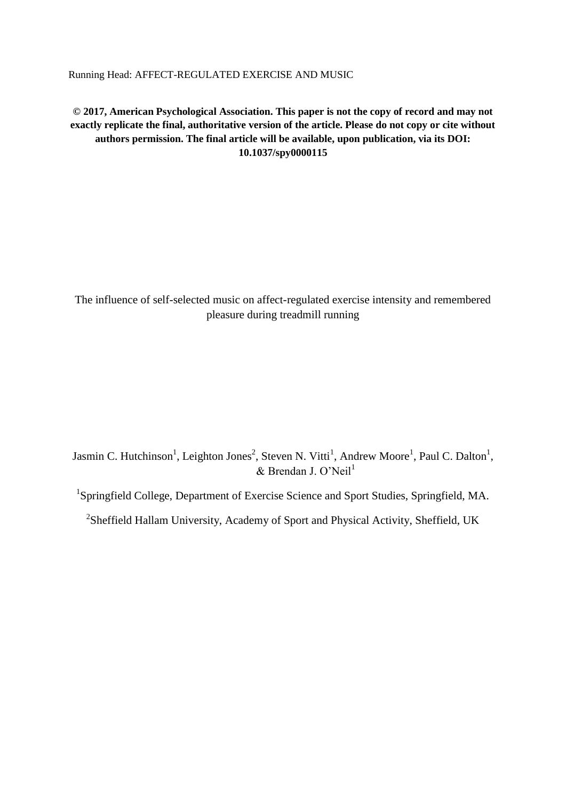Running Head: AFFECT-REGULATED EXERCISE AND MUSIC

**© 2017, American Psychological Association. This paper is not the copy of record and may not exactly replicate the final, authoritative version of the article. Please do not copy or cite without authors permission. The final article will be available, upon publication, via its DOI: 10.1037/spy0000115**

The influence of self-selected music on affect-regulated exercise intensity and remembered pleasure during treadmill running

Jasmin C. Hutchinson<sup>1</sup>, Leighton Jones<sup>2</sup>, Steven N. Vitti<sup>1</sup>, Andrew Moore<sup>1</sup>, Paul C. Dalton<sup>1</sup>,  $&$  Brendan J. O'Neil<sup>1</sup>

<sup>1</sup>Springfield College, Department of Exercise Science and Sport Studies, Springfield, MA.

<sup>2</sup>Sheffield Hallam University, Academy of Sport and Physical Activity, Sheffield, UK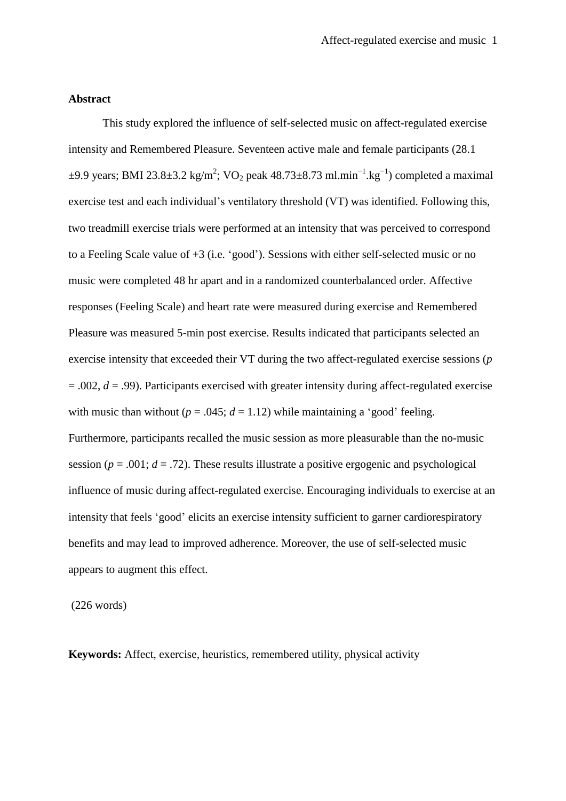# **Abstract**

This study explored the influence of self-selected music on affect-regulated exercise intensity and Remembered Pleasure. Seventeen active male and female participants (28.1  $\pm$ 9.9 years; BMI 23.8 $\pm$ 3.2 kg/m<sup>2</sup>; VO<sub>2</sub> peak 48.73 $\pm$ 8.73 ml.min<sup>-1</sup>.kg<sup>-1</sup>) completed a maximal exercise test and each individual's ventilatory threshold (VT) was identified. Following this, two treadmill exercise trials were performed at an intensity that was perceived to correspond to a Feeling Scale value of +3 (i.e. 'good'). Sessions with either self-selected music or no music were completed 48 hr apart and in a randomized counterbalanced order. Affective responses (Feeling Scale) and heart rate were measured during exercise and Remembered Pleasure was measured 5-min post exercise. Results indicated that participants selected an exercise intensity that exceeded their VT during the two affect-regulated exercise sessions (*p* = .002, *d* = .99). Participants exercised with greater intensity during affect-regulated exercise with music than without ( $p = .045$ ;  $d = 1.12$ ) while maintaining a 'good' feeling. Furthermore, participants recalled the music session as more pleasurable than the no-music session ( $p = .001$ ;  $d = .72$ ). These results illustrate a positive ergogenic and psychological influence of music during affect-regulated exercise. Encouraging individuals to exercise at an intensity that feels 'good' elicits an exercise intensity sufficient to garner cardiorespiratory benefits and may lead to improved adherence. Moreover, the use of self-selected music appears to augment this effect.

(226 words)

**Keywords:** Affect, exercise, heuristics, remembered utility, physical activity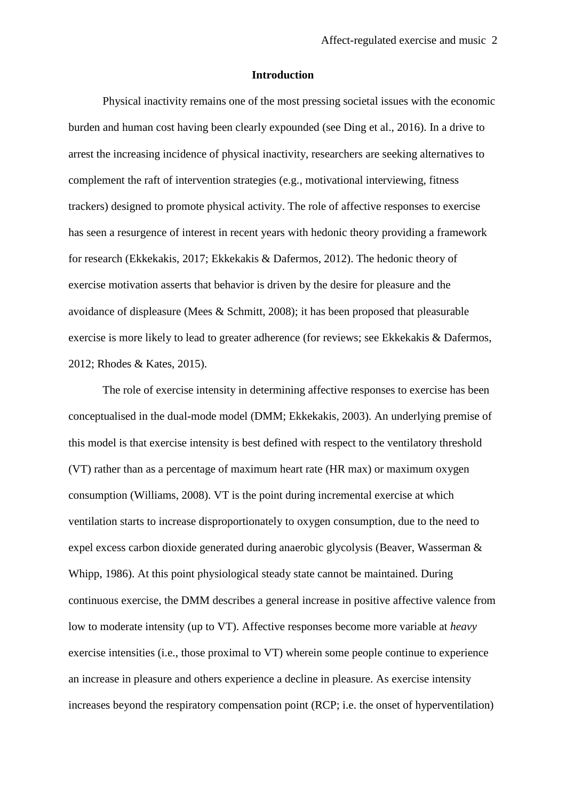#### **Introduction**

Physical inactivity remains one of the most pressing societal issues with the economic burden and human cost having been clearly expounded (see Ding et al., 2016). In a drive to arrest the increasing incidence of physical inactivity, researchers are seeking alternatives to complement the raft of intervention strategies (e.g., motivational interviewing, fitness trackers) designed to promote physical activity. The role of affective responses to exercise has seen a resurgence of interest in recent years with hedonic theory providing a framework for research (Ekkekakis, 2017; Ekkekakis & Dafermos, 2012). The hedonic theory of exercise motivation asserts that behavior is driven by the desire for pleasure and the avoidance of displeasure (Mees & Schmitt, 2008); it has been proposed that pleasurable exercise is more likely to lead to greater adherence (for reviews; see Ekkekakis & Dafermos, 2012; Rhodes & Kates, 2015).

The role of exercise intensity in determining affective responses to exercise has been conceptualised in the dual-mode model (DMM; Ekkekakis, 2003). An underlying premise of this model is that exercise intensity is best defined with respect to the ventilatory threshold (VT) rather than as a percentage of maximum heart rate (HR max) or maximum oxygen consumption (Williams, 2008). VT is the point during incremental exercise at which ventilation starts to increase disproportionately to oxygen consumption, due to the need to expel excess carbon dioxide generated during anaerobic glycolysis (Beaver, Wasserman & Whipp, 1986). At this point physiological steady state cannot be maintained. During continuous exercise, the DMM describes a general increase in positive affective valence from low to moderate intensity (up to VT). Affective responses become more variable at *heavy* exercise intensities (i.e., those proximal to VT) wherein some people continue to experience an increase in pleasure and others experience a decline in pleasure. As exercise intensity increases beyond the respiratory compensation point (RCP; i.e. the onset of hyperventilation)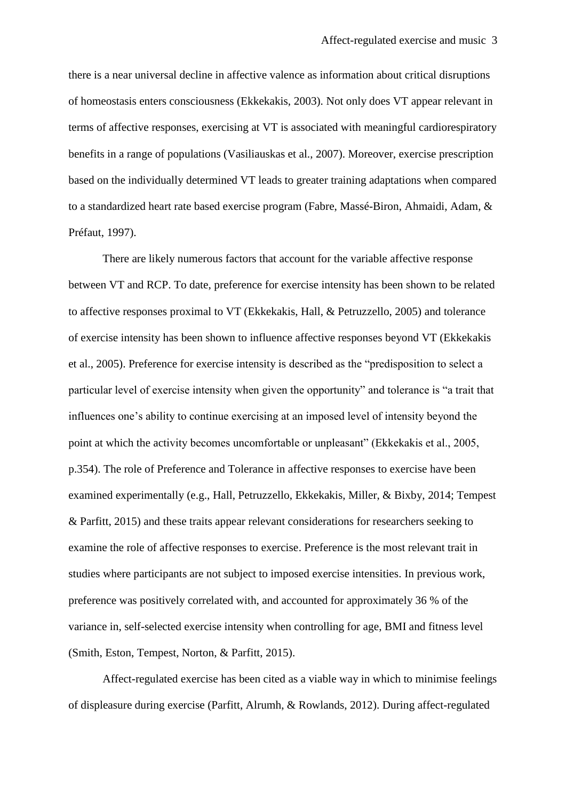there is a near universal decline in affective valence as information about critical disruptions of homeostasis enters consciousness (Ekkekakis, 2003). Not only does VT appear relevant in terms of affective responses, exercising at VT is associated with meaningful cardiorespiratory benefits in a range of populations (Vasiliauskas et al., 2007). Moreover, exercise prescription based on the individually determined VT leads to greater training adaptations when compared to a standardized heart rate based exercise program (Fabre, Massé-Biron, Ahmaidi, Adam, & Préfaut, 1997).

There are likely numerous factors that account for the variable affective response between VT and RCP. To date, preference for exercise intensity has been shown to be related to affective responses proximal to VT (Ekkekakis, Hall, & Petruzzello, 2005) and tolerance of exercise intensity has been shown to influence affective responses beyond VT (Ekkekakis et al., 2005). Preference for exercise intensity is described as the "predisposition to select a particular level of exercise intensity when given the opportunity" and tolerance is "a trait that influences one's ability to continue exercising at an imposed level of intensity beyond the point at which the activity becomes uncomfortable or unpleasant" (Ekkekakis et al., 2005, p.354). The role of Preference and Tolerance in affective responses to exercise have been examined experimentally (e.g., Hall, Petruzzello, Ekkekakis, Miller, & Bixby, 2014; Tempest & Parfitt, 2015) and these traits appear relevant considerations for researchers seeking to examine the role of affective responses to exercise. Preference is the most relevant trait in studies where participants are not subject to imposed exercise intensities. In previous work, preference was positively correlated with, and accounted for approximately 36 % of the variance in, self-selected exercise intensity when controlling for age, BMI and fitness level (Smith, Eston, Tempest, Norton, & Parfitt, 2015).

Affect-regulated exercise has been cited as a viable way in which to minimise feelings of displeasure during exercise (Parfitt, Alrumh, & Rowlands, 2012). During affect-regulated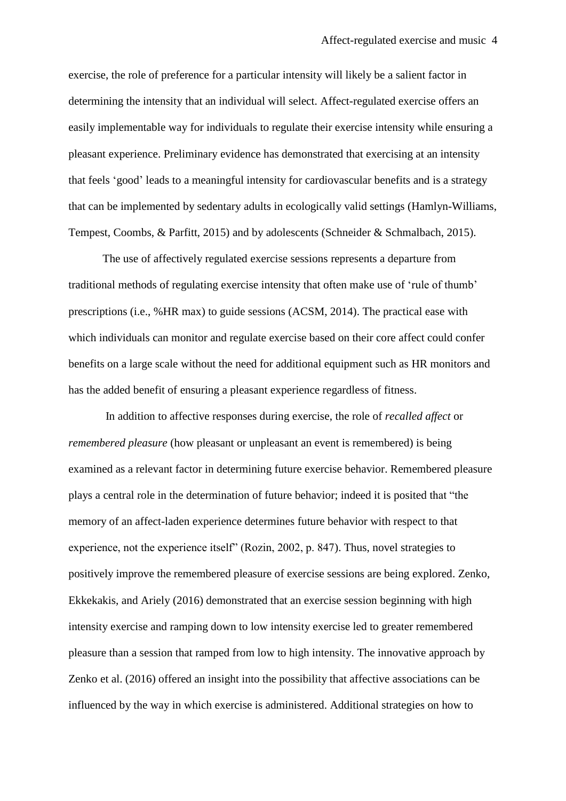exercise, the role of preference for a particular intensity will likely be a salient factor in determining the intensity that an individual will select. Affect-regulated exercise offers an easily implementable way for individuals to regulate their exercise intensity while ensuring a pleasant experience. Preliminary evidence has demonstrated that exercising at an intensity that feels 'good' leads to a meaningful intensity for cardiovascular benefits and is a strategy that can be implemented by sedentary adults in ecologically valid settings (Hamlyn-Williams, Tempest, Coombs, & Parfitt, 2015) and by adolescents (Schneider & Schmalbach, 2015).

The use of affectively regulated exercise sessions represents a departure from traditional methods of regulating exercise intensity that often make use of 'rule of thumb' prescriptions (i.e., %HR max) to guide sessions (ACSM, 2014). The practical ease with which individuals can monitor and regulate exercise based on their core affect could confer benefits on a large scale without the need for additional equipment such as HR monitors and has the added benefit of ensuring a pleasant experience regardless of fitness.

In addition to affective responses during exercise, the role of *recalled affect* or *remembered pleasure* (how pleasant or unpleasant an event is remembered) is being examined as a relevant factor in determining future exercise behavior. Remembered pleasure plays a central role in the determination of future behavior; indeed it is posited that "the memory of an affect-laden experience determines future behavior with respect to that experience, not the experience itself" (Rozin, 2002, p. 847). Thus, novel strategies to positively improve the remembered pleasure of exercise sessions are being explored. Zenko, Ekkekakis, and Ariely (2016) demonstrated that an exercise session beginning with high intensity exercise and ramping down to low intensity exercise led to greater remembered pleasure than a session that ramped from low to high intensity. The innovative approach by Zenko et al. (2016) offered an insight into the possibility that affective associations can be influenced by the way in which exercise is administered. Additional strategies on how to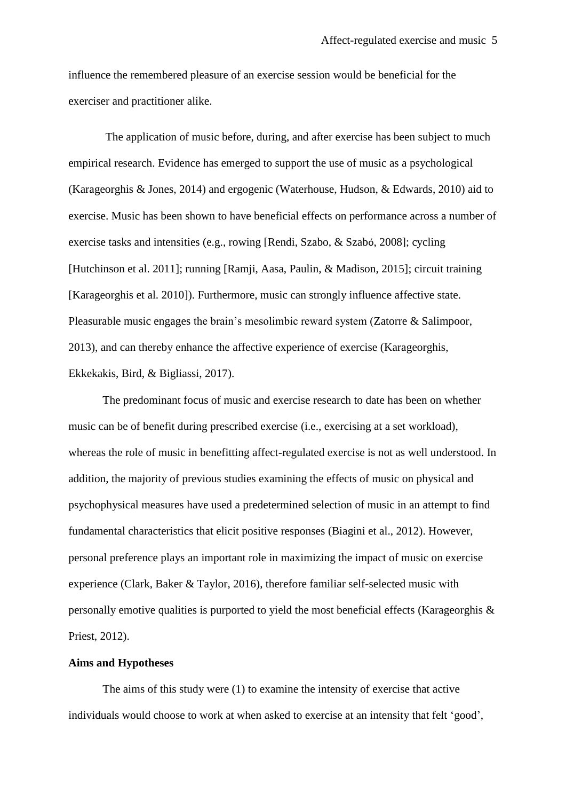influence the remembered pleasure of an exercise session would be beneficial for the exerciser and practitioner alike.

The application of music before, during, and after exercise has been subject to much empirical research. Evidence has emerged to support the use of music as a psychological (Karageorghis & Jones, 2014) and ergogenic (Waterhouse, Hudson, & Edwards, 2010) aid to exercise. Music has been shown to have beneficial effects on performance across a number of exercise tasks and intensities (e.g., rowing [Rendi, Szabo, & Szabó, 2008]; cycling [Hutchinson et al. 2011]; running [Ramji, Aasa, Paulin, & Madison, 2015]; circuit training [Karageorghis et al. 2010]). Furthermore, music can strongly influence affective state. Pleasurable music engages the brain's mesolimbic reward system (Zatorre & Salimpoor, 2013), and can thereby enhance the affective experience of exercise (Karageorghis, Ekkekakis, Bird, & Bigliassi, 2017).

The predominant focus of music and exercise research to date has been on whether music can be of benefit during prescribed exercise (i.e., exercising at a set workload), whereas the role of music in benefitting affect-regulated exercise is not as well understood. In addition, the majority of previous studies examining the effects of music on physical and psychophysical measures have used a predetermined selection of music in an attempt to find fundamental characteristics that elicit positive responses (Biagini et al., 2012). However, personal preference plays an important role in maximizing the impact of music on exercise experience (Clark, Baker & Taylor, 2016), therefore familiar self-selected music with personally emotive qualities is purported to yield the most beneficial effects (Karageorghis & Priest, 2012).

# **Aims and Hypotheses**

The aims of this study were (1) to examine the intensity of exercise that active individuals would choose to work at when asked to exercise at an intensity that felt 'good',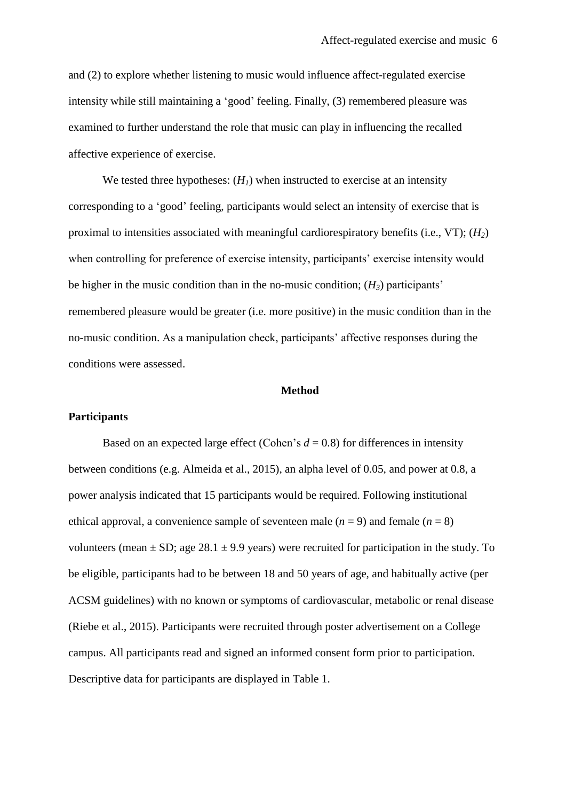and (2) to explore whether listening to music would influence affect-regulated exercise intensity while still maintaining a 'good' feeling. Finally, (3) remembered pleasure was examined to further understand the role that music can play in influencing the recalled affective experience of exercise.

We tested three hypotheses:  $(H<sub>1</sub>)$  when instructed to exercise at an intensity corresponding to a 'good' feeling, participants would select an intensity of exercise that is proximal to intensities associated with meaningful cardiorespiratory benefits (i.e., VT); (*H2*) when controlling for preference of exercise intensity, participants' exercise intensity would be higher in the music condition than in the no-music condition;  $(H_3)$  participants' remembered pleasure would be greater (i.e. more positive) in the music condition than in the no-music condition. As a manipulation check, participants' affective responses during the conditions were assessed.

## **Method**

#### **Participants**

Based on an expected large effect (Cohen's  $d = 0.8$ ) for differences in intensity between conditions (e.g. Almeida et al., 2015), an alpha level of 0.05, and power at 0.8, a power analysis indicated that 15 participants would be required. Following institutional ethical approval, a convenience sample of seventeen male  $(n = 9)$  and female  $(n = 8)$ volunteers (mean  $\pm$  SD; age 28.1  $\pm$  9.9 years) were recruited for participation in the study. To be eligible, participants had to be between 18 and 50 years of age, and habitually active (per ACSM guidelines) with no known or symptoms of cardiovascular, metabolic or renal disease (Riebe et al., 2015). Participants were recruited through poster advertisement on a College campus. All participants read and signed an informed consent form prior to participation. Descriptive data for participants are displayed in Table 1.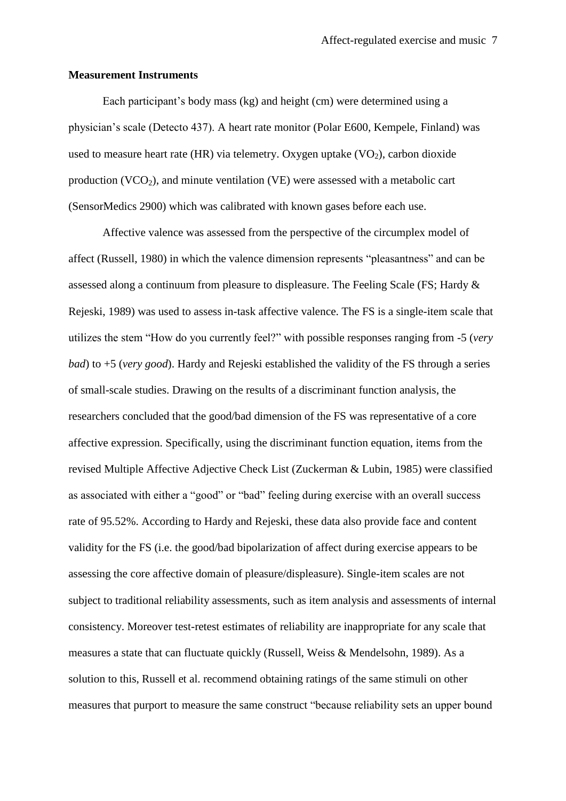#### **Measurement Instruments**

Each participant's body mass (kg) and height (cm) were determined using a physician's scale (Detecto 437). A heart rate monitor (Polar E600, Kempele, Finland) was used to measure heart rate (HR) via telemetry. Oxygen uptake  $(VO<sub>2</sub>)$ , carbon dioxide production  $(VCO<sub>2</sub>)$ , and minute ventilation  $(VE)$  were assessed with a metabolic cart (SensorMedics 2900) which was calibrated with known gases before each use.

Affective valence was assessed from the perspective of the circumplex model of affect (Russell, 1980) in which the valence dimension represents "pleasantness" and can be assessed along a continuum from pleasure to displeasure. The Feeling Scale (FS; Hardy & Rejeski, 1989) was used to assess in-task affective valence. The FS is a single-item scale that utilizes the stem "How do you currently feel?" with possible responses ranging from -5 (*very bad*) to +5 (*very good*). Hardy and Rejeski established the validity of the FS through a series of small-scale studies. Drawing on the results of a discriminant function analysis, the researchers concluded that the good/bad dimension of the FS was representative of a core affective expression. Specifically, using the discriminant function equation, items from the revised Multiple Affective Adjective Check List (Zuckerman & Lubin, 1985) were classified as associated with either a "good" or "bad" feeling during exercise with an overall success rate of 95.52%. According to Hardy and Rejeski, these data also provide face and content validity for the FS (i.e. the good/bad bipolarization of affect during exercise appears to be assessing the core affective domain of pleasure/displeasure). Single-item scales are not subject to traditional reliability assessments, such as item analysis and assessments of internal consistency. Moreover test-retest estimates of reliability are inappropriate for any scale that measures a state that can fluctuate quickly (Russell, Weiss & Mendelsohn, 1989). As a solution to this, Russell et al. recommend obtaining ratings of the same stimuli on other measures that purport to measure the same construct "because reliability sets an upper bound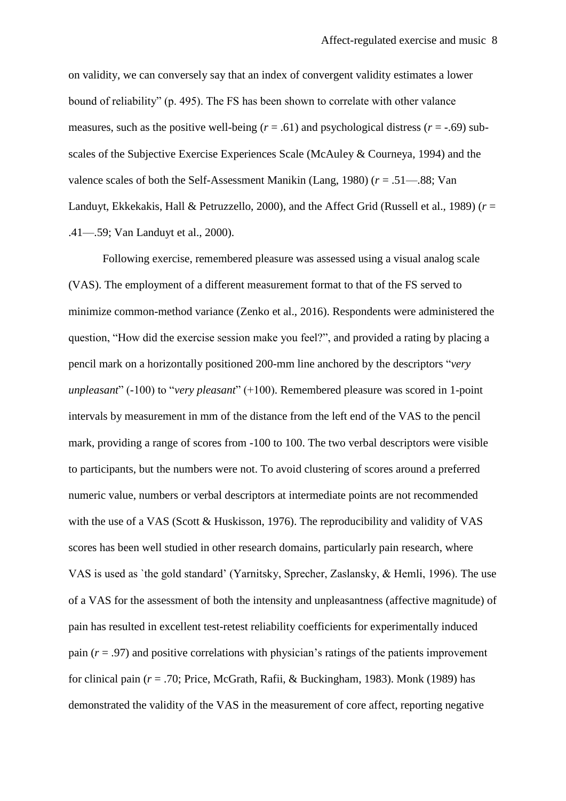on validity, we can conversely say that an index of convergent validity estimates a lower bound of reliability" (p. 495). The FS has been shown to correlate with other valance measures, such as the positive well-being  $(r = .61)$  and psychological distress  $(r = .69)$  subscales of the Subjective Exercise Experiences Scale (McAuley & Courneya, 1994) and the valence scales of both the Self-Assessment Manikin (Lang, 1980) (*r* = .51—.88; Van Landuyt, Ekkekakis, Hall & Petruzzello, 2000), and the Affect Grid (Russell et al., 1989) (*r* = .41—.59; Van Landuyt et al., 2000).

Following exercise, remembered pleasure was assessed using a visual analog scale (VAS). The employment of a different measurement format to that of the FS served to minimize common-method variance (Zenko et al., 2016). Respondents were administered the question, "How did the exercise session make you feel?", and provided a rating by placing a pencil mark on a horizontally positioned 200-mm line anchored by the descriptors "*very unpleasant*" (-100) to "*very pleasant*" (+100). Remembered pleasure was scored in 1-point intervals by measurement in mm of the distance from the left end of the VAS to the pencil mark, providing a range of scores from -100 to 100. The two verbal descriptors were visible to participants, but the numbers were not. To avoid clustering of scores around a preferred numeric value, numbers or verbal descriptors at intermediate points are not recommended with the use of a VAS (Scott & Huskisson, 1976). The reproducibility and validity of VAS scores has been well studied in other research domains, particularly pain research, where VAS is used as `the gold standard' (Yarnitsky, Sprecher, Zaslansky, & Hemli, 1996). The use of a VAS for the assessment of both the intensity and unpleasantness (affective magnitude) of pain has resulted in excellent test-retest reliability coefficients for experimentally induced pain (*r* = .97) and positive correlations with physician's ratings of the patients improvement for clinical pain (*r* = .70; Price, McGrath, Rafii, & Buckingham, 1983). Monk (1989) has demonstrated the validity of the VAS in the measurement of core affect, reporting negative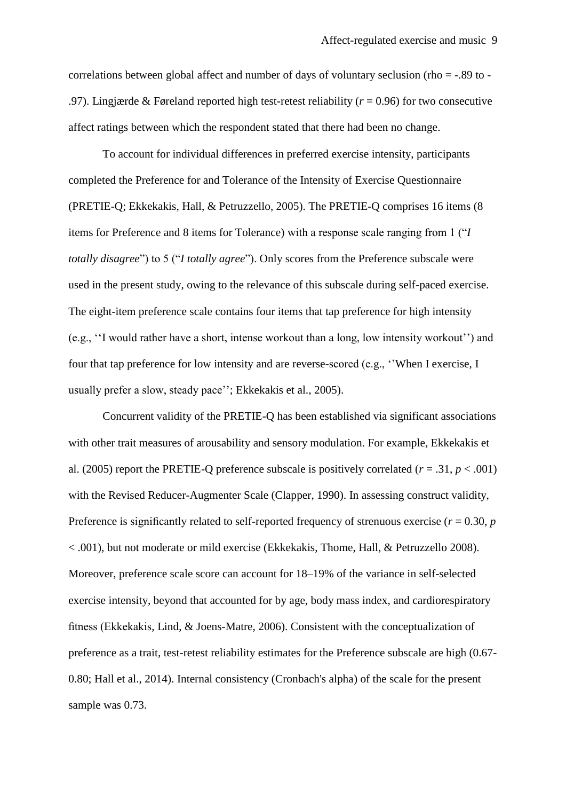correlations between global affect and number of days of voluntary seclusion (rho = -.89 to - .97). Lingjærde & Føreland reported high test-retest reliability (*r* = 0.96) for two consecutive affect ratings between which the respondent stated that there had been no change.

To account for individual differences in preferred exercise intensity, participants completed the Preference for and Tolerance of the Intensity of Exercise Questionnaire (PRETIE-Q; Ekkekakis, Hall, & Petruzzello, 2005). The PRETIE-Q comprises 16 items (8 items for Preference and 8 items for Tolerance) with a response scale ranging from 1 ("*I totally disagree*") to 5 ("*I totally agree*"). Only scores from the Preference subscale were used in the present study, owing to the relevance of this subscale during self-paced exercise. The eight-item preference scale contains four items that tap preference for high intensity (e.g., ''I would rather have a short, intense workout than a long, low intensity workout'') and four that tap preference for low intensity and are reverse-scored (e.g., ''When I exercise, I usually prefer a slow, steady pace''; Ekkekakis et al., 2005).

Concurrent validity of the PRETIE-Q has been established via significant associations with other trait measures of arousability and sensory modulation. For example, Ekkekakis et al. (2005) report the PRETIE-Q preference subscale is positively correlated ( $r = .31$ ,  $p < .001$ ) with the Revised Reducer-Augmenter Scale (Clapper, 1990). In assessing construct validity, Preference is significantly related to self-reported frequency of strenuous exercise ( $r = 0.30$ ,  $p$ ) < .001), but not moderate or mild exercise (Ekkekakis, Thome, Hall, & Petruzzello 2008). Moreover, preference scale score can account for 18–19% of the variance in self-selected exercise intensity, beyond that accounted for by age, body mass index, and cardiorespiratory fitness (Ekkekakis, Lind, & Joens-Matre, 2006). Consistent with the conceptualization of preference as a trait, test-retest reliability estimates for the Preference subscale are high (0.67- 0.80; Hall et al., 2014). Internal consistency (Cronbach's alpha) of the scale for the present sample was 0.73.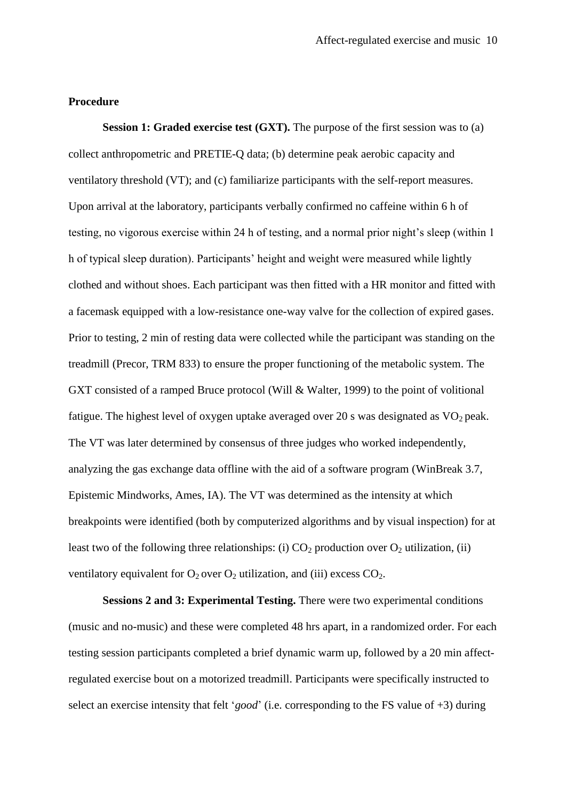# **Procedure**

**Session 1: Graded exercise test (GXT).** The purpose of the first session was to (a) collect anthropometric and PRETIE-Q data; (b) determine peak aerobic capacity and ventilatory threshold (VT); and (c) familiarize participants with the self-report measures. Upon arrival at the laboratory, participants verbally confirmed no caffeine within 6 h of testing, no vigorous exercise within 24 h of testing, and a normal prior night's sleep (within 1 h of typical sleep duration). Participants' height and weight were measured while lightly clothed and without shoes. Each participant was then fitted with a HR monitor and fitted with a facemask equipped with a low-resistance one-way valve for the collection of expired gases. Prior to testing, 2 min of resting data were collected while the participant was standing on the treadmill (Precor, TRM 833) to ensure the proper functioning of the metabolic system. The GXT consisted of a ramped Bruce protocol (Will & Walter, 1999) to the point of volitional fatigue. The highest level of oxygen uptake averaged over 20 s was designated as  $VO<sub>2</sub>$  peak. The VT was later determined by consensus of three judges who worked independently, analyzing the gas exchange data offline with the aid of a software program (WinBreak 3.7, Epistemic Mindworks, Ames, IA). The VT was determined as the intensity at which breakpoints were identified (both by computerized algorithms and by visual inspection) for at least two of the following three relationships: (i)  $CO_2$  production over  $O_2$  utilization, (ii) ventilatory equivalent for  $O_2$  over  $O_2$  utilization, and (iii) excess  $CO_2$ .

**Sessions 2 and 3: Experimental Testing.** There were two experimental conditions (music and no-music) and these were completed 48 hrs apart, in a randomized order. For each testing session participants completed a brief dynamic warm up, followed by a 20 min affectregulated exercise bout on a motorized treadmill. Participants were specifically instructed to select an exercise intensity that felt '*good*' (i.e. corresponding to the FS value of +3) during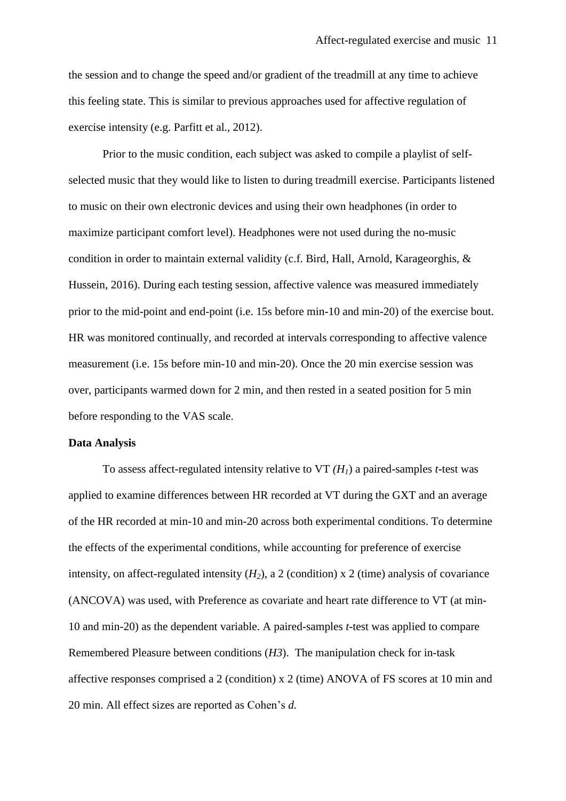the session and to change the speed and/or gradient of the treadmill at any time to achieve this feeling state. This is similar to previous approaches used for affective regulation of exercise intensity (e.g. Parfitt et al., 2012).

Prior to the music condition, each subject was asked to compile a playlist of selfselected music that they would like to listen to during treadmill exercise. Participants listened to music on their own electronic devices and using their own headphones (in order to maximize participant comfort level). Headphones were not used during the no-music condition in order to maintain external validity (c.f. Bird, Hall, Arnold, Karageorghis, & Hussein, 2016). During each testing session, affective valence was measured immediately prior to the mid-point and end-point (i.e. 15s before min-10 and min-20) of the exercise bout. HR was monitored continually, and recorded at intervals corresponding to affective valence measurement (i.e. 15s before min-10 and min-20). Once the 20 min exercise session was over, participants warmed down for 2 min, and then rested in a seated position for 5 min before responding to the VAS scale.

## **Data Analysis**

To assess affect-regulated intensity relative to VT *(H1*) a paired-samples *t*-test was applied to examine differences between HR recorded at VT during the GXT and an average of the HR recorded at min-10 and min-20 across both experimental conditions. To determine the effects of the experimental conditions, while accounting for preference of exercise intensity, on affect-regulated intensity  $(H_2)$ , a 2 (condition) x 2 (time) analysis of covariance (ANCOVA) was used, with Preference as covariate and heart rate difference to VT (at min-10 and min-20) as the dependent variable. A paired-samples *t*-test was applied to compare Remembered Pleasure between conditions (*H3*). The manipulation check for in-task affective responses comprised a 2 (condition) x 2 (time) ANOVA of FS scores at 10 min and 20 min. All effect sizes are reported as Cohen's *d.*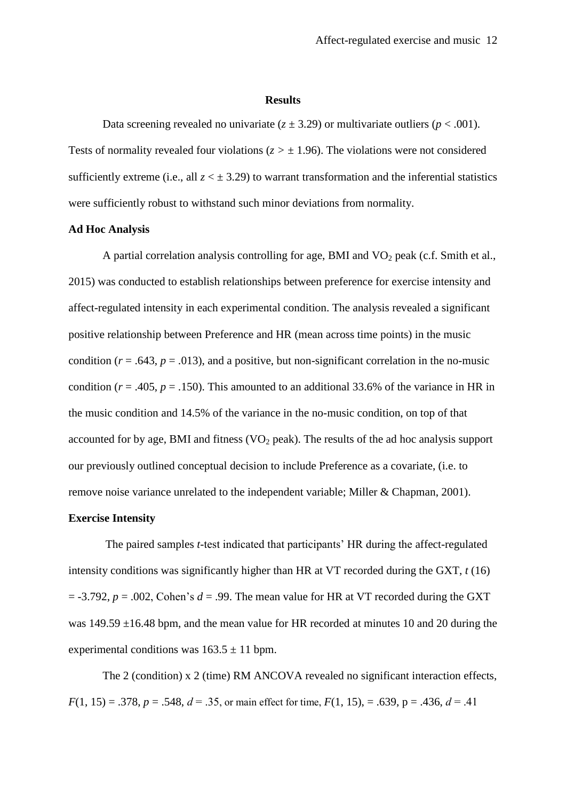#### **Results**

Data screening revealed no univariate  $(z \pm 3.29)$  or multivariate outliers ( $p < .001$ ). Tests of normality revealed four violations ( $z > \pm 1.96$ ). The violations were not considered sufficiently extreme (i.e., all  $z < \pm 3.29$ ) to warrant transformation and the inferential statistics were sufficiently robust to withstand such minor deviations from normality.

### **Ad Hoc Analysis**

A partial correlation analysis controlling for age, BMI and  $VO<sub>2</sub>$  peak (c.f. Smith et al., 2015) was conducted to establish relationships between preference for exercise intensity and affect-regulated intensity in each experimental condition. The analysis revealed a significant positive relationship between Preference and HR (mean across time points) in the music condition ( $r = .643$ ,  $p = .013$ ), and a positive, but non-significant correlation in the no-music condition ( $r = .405$ ,  $p = .150$ ). This amounted to an additional 33.6% of the variance in HR in the music condition and 14.5% of the variance in the no-music condition, on top of that accounted for by age, BMI and fitness (VO<sub>2</sub> peak). The results of the ad hoc analysis support our previously outlined conceptual decision to include Preference as a covariate, (i.e. to remove noise variance unrelated to the independent variable; Miller & Chapman, 2001).

# **Exercise Intensity**

The paired samples *t*-test indicated that participants' HR during the affect-regulated intensity conditions was significantly higher than HR at VT recorded during the GXT, *t* (16)  $=$  -3.792,  $p = .002$ , Cohen's  $d = .99$ . The mean value for HR at VT recorded during the GXT was 149.59 ±16.48 bpm, and the mean value for HR recorded at minutes 10 and 20 during the experimental conditions was  $163.5 \pm 11$  bpm.

The 2 (condition) x 2 (time) RM ANCOVA revealed no significant interaction effects, *F*(1, 15) = .378, *p* = .548, *d* = .35, or main effect for time, *F*(1, 15), = .639, p = .436, *d* = .41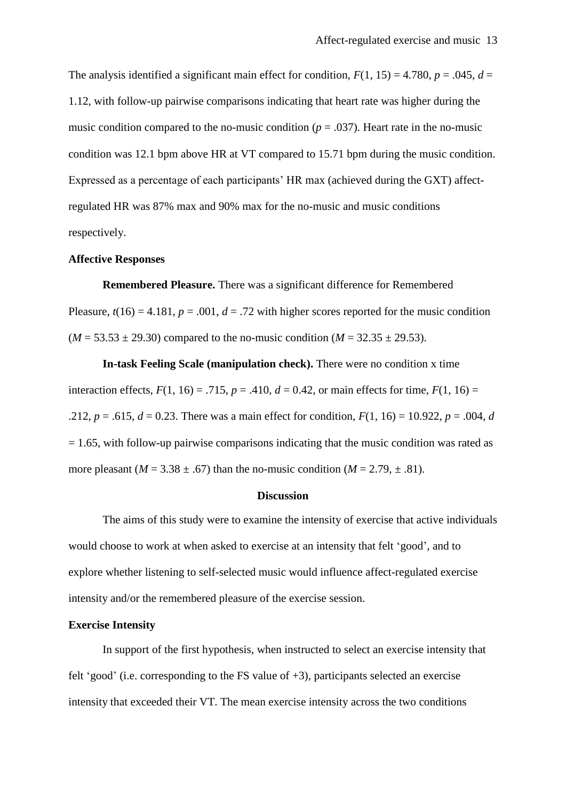The analysis identified a significant main effect for condition,  $F(1, 15) = 4.780$ ,  $p = .045$ ,  $d =$ 1.12, with follow-up pairwise comparisons indicating that heart rate was higher during the music condition compared to the no-music condition ( $p = .037$ ). Heart rate in the no-music condition was 12.1 bpm above HR at VT compared to 15.71 bpm during the music condition. Expressed as a percentage of each participants' HR max (achieved during the GXT) affectregulated HR was 87% max and 90% max for the no-music and music conditions respectively.

#### **Affective Responses**

**Remembered Pleasure.** There was a significant difference for Remembered Pleasure,  $t(16) = 4.181$ ,  $p = .001$ ,  $d = .72$  with higher scores reported for the music condition  $(M = 53.53 \pm 29.30)$  compared to the no-music condition  $(M = 32.35 \pm 29.53)$ .

**In-task Feeling Scale (manipulation check).** There were no condition x time interaction effects,  $F(1, 16) = .715$ ,  $p = .410$ ,  $d = 0.42$ , or main effects for time,  $F(1, 16) =$ .212,  $p = .615$ ,  $d = 0.23$ . There was a main effect for condition,  $F(1, 16) = 10.922$ ,  $p = .004$ , *d*  $= 1.65$ , with follow-up pairwise comparisons indicating that the music condition was rated as more pleasant ( $M = 3.38 \pm .67$ ) than the no-music condition ( $M = 2.79 \pm .81$ ).

### **Discussion**

The aims of this study were to examine the intensity of exercise that active individuals would choose to work at when asked to exercise at an intensity that felt 'good', and to explore whether listening to self-selected music would influence affect-regulated exercise intensity and/or the remembered pleasure of the exercise session.

# **Exercise Intensity**

In support of the first hypothesis, when instructed to select an exercise intensity that felt 'good' (i.e. corresponding to the FS value of +3), participants selected an exercise intensity that exceeded their VT. The mean exercise intensity across the two conditions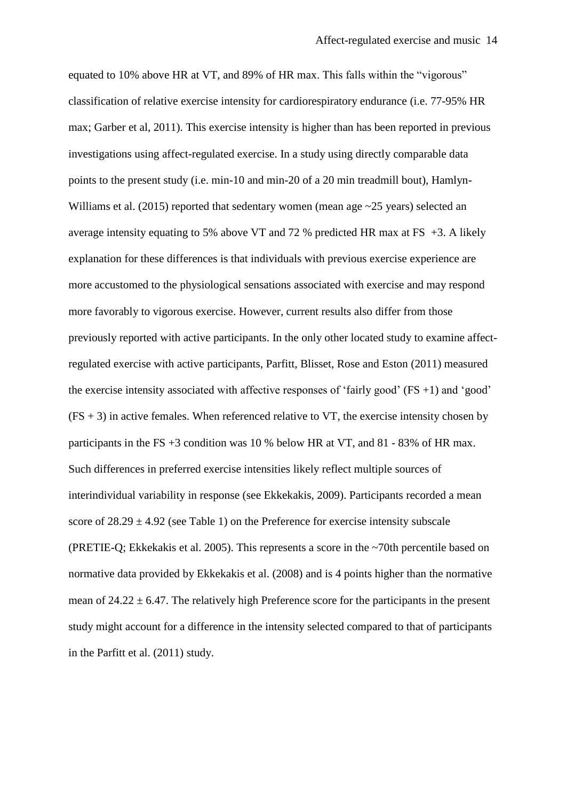equated to 10% above HR at VT, and 89% of HR max. This falls within the "vigorous" classification of relative exercise intensity for cardiorespiratory endurance (i.e. 77-95% HR max; Garber et al, 2011). This exercise intensity is higher than has been reported in previous investigations using affect-regulated exercise. In a study using directly comparable data points to the present study (i.e. min-10 and min-20 of a 20 min treadmill bout), Hamlyn-Williams et al. (2015) reported that sedentary women (mean age ~25 years) selected an average intensity equating to 5% above VT and 72 % predicted HR max at FS  $+3$ . A likely explanation for these differences is that individuals with previous exercise experience are more accustomed to the physiological sensations associated with exercise and may respond more favorably to vigorous exercise. However, current results also differ from those previously reported with active participants. In the only other located study to examine affectregulated exercise with active participants, Parfitt, Blisset, Rose and Eston (2011) measured the exercise intensity associated with affective responses of 'fairly good'  $(FS +1)$  and 'good'  $(FS + 3)$  in active females. When referenced relative to VT, the exercise intensity chosen by participants in the FS  $+3$  condition was 10 % below HR at VT, and 81 - 83% of HR max. Such differences in preferred exercise intensities likely reflect multiple sources of interindividual variability in response (see Ekkekakis, 2009). Participants recorded a mean score of  $28.29 \pm 4.92$  (see Table 1) on the Preference for exercise intensity subscale (PRETIE-Q; Ekkekakis et al. 2005). This represents a score in the ~70th percentile based on normative data provided by Ekkekakis et al. (2008) and is 4 points higher than the normative mean of  $24.22 \pm 6.47$ . The relatively high Preference score for the participants in the present study might account for a difference in the intensity selected compared to that of participants in the Parfitt et al. (2011) study.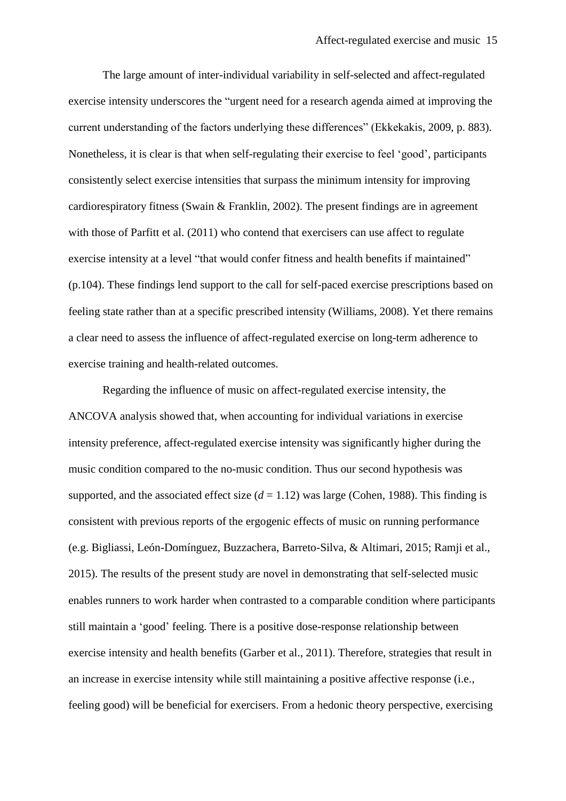The large amount of inter-individual variability in self-selected and affect-regulated exercise intensity underscores the "urgent need for a research agenda aimed at improving the current understanding of the factors underlying these differences" (Ekkekakis, 2009, p. 883). Nonetheless, it is clear is that when self-regulating their exercise to feel 'good', participants consistently select exercise intensities that surpass the minimum intensity for improving cardiorespiratory fitness (Swain & Franklin, 2002). The present findings are in agreement with those of Parfitt et al. (2011) who contend that exercisers can use affect to regulate exercise intensity at a level "that would confer fitness and health benefits if maintained" (p.104). These findings lend support to the call for self-paced exercise prescriptions based on feeling state rather than at a specific prescribed intensity (Williams, 2008). Yet there remains a clear need to assess the influence of affect-regulated exercise on long-term adherence to exercise training and health-related outcomes.

Regarding the influence of music on affect-regulated exercise intensity, the ANCOVA analysis showed that, when accounting for individual variations in exercise intensity preference, affect-regulated exercise intensity was significantly higher during the music condition compared to the no-music condition. Thus our second hypothesis was supported, and the associated effect size  $(d = 1.12)$  was large (Cohen, 1988). This finding is consistent with previous reports of the ergogenic effects of music on running performance (e.g. Bigliassi, León-Domínguez, Buzzachera, Barreto-Silva, & Altimari, 2015; Ramji et al., 2015). The results of the present study are novel in demonstrating that self-selected music enables runners to work harder when contrasted to a comparable condition where participants still maintain a 'good' feeling. There is a positive dose-response relationship between exercise intensity and health benefits (Garber et al., 2011). Therefore, strategies that result in an increase in exercise intensity while still maintaining a positive affective response (i.e., feeling good) will be beneficial for exercisers. From a hedonic theory perspective, exercising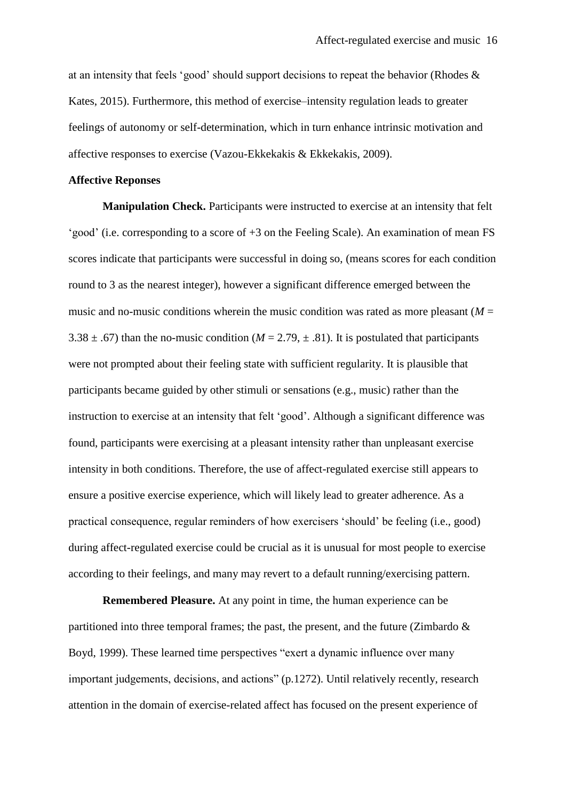at an intensity that feels 'good' should support decisions to repeat the behavior (Rhodes & Kates, 2015). Furthermore, this method of exercise–intensity regulation leads to greater feelings of autonomy or self-determination, which in turn enhance intrinsic motivation and affective responses to exercise (Vazou-Ekkekakis & Ekkekakis, 2009).

#### **Affective Reponses**

**Manipulation Check.** Participants were instructed to exercise at an intensity that felt 'good' (i.e. corresponding to a score of +3 on the Feeling Scale). An examination of mean FS scores indicate that participants were successful in doing so, (means scores for each condition round to 3 as the nearest integer), however a significant difference emerged between the music and no-music conditions wherein the music condition was rated as more pleasant  $(M =$ 3.38  $\pm$  .67) than the no-music condition (*M* = 2.79,  $\pm$  .81). It is postulated that participants were not prompted about their feeling state with sufficient regularity. It is plausible that participants became guided by other stimuli or sensations (e.g., music) rather than the instruction to exercise at an intensity that felt 'good'. Although a significant difference was found, participants were exercising at a pleasant intensity rather than unpleasant exercise intensity in both conditions. Therefore, the use of affect-regulated exercise still appears to ensure a positive exercise experience, which will likely lead to greater adherence. As a practical consequence, regular reminders of how exercisers 'should' be feeling (i.e., good) during affect-regulated exercise could be crucial as it is unusual for most people to exercise according to their feelings, and many may revert to a default running/exercising pattern.

**Remembered Pleasure.** At any point in time, the human experience can be partitioned into three temporal frames; the past, the present, and the future (Zimbardo & Boyd, 1999). These learned time perspectives "exert a dynamic influence over many important judgements, decisions, and actions" (p.1272). Until relatively recently, research attention in the domain of exercise-related affect has focused on the present experience of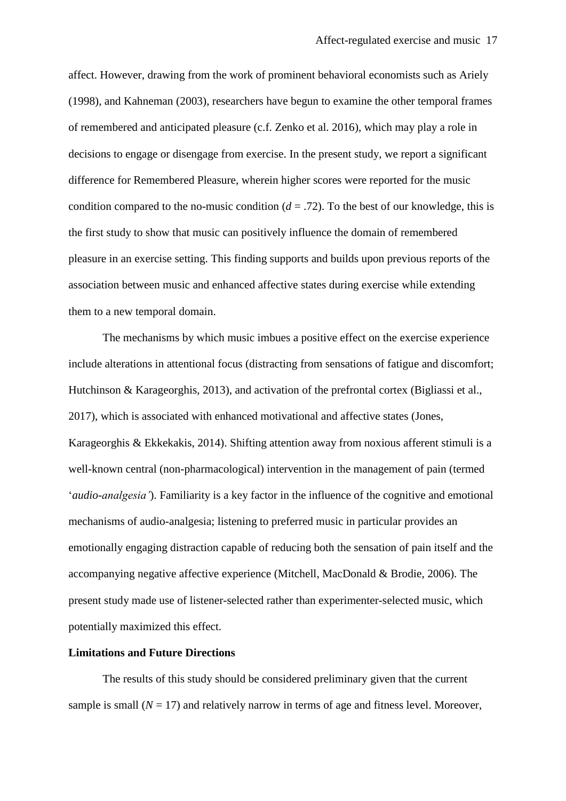affect. However, drawing from the work of prominent behavioral economists such as Ariely (1998), and Kahneman (2003), researchers have begun to examine the other temporal frames of remembered and anticipated pleasure (c.f. Zenko et al. 2016), which may play a role in decisions to engage or disengage from exercise. In the present study, we report a significant difference for Remembered Pleasure, wherein higher scores were reported for the music condition compared to the no-music condition  $(d = .72)$ . To the best of our knowledge, this is the first study to show that music can positively influence the domain of remembered pleasure in an exercise setting. This finding supports and builds upon previous reports of the association between music and enhanced affective states during exercise while extending them to a new temporal domain.

The mechanisms by which music imbues a positive effect on the exercise experience include alterations in attentional focus (distracting from sensations of fatigue and discomfort; Hutchinson & Karageorghis, 2013), and activation of the prefrontal cortex (Bigliassi et al., 2017), which is associated with enhanced motivational and affective states (Jones, Karageorghis & Ekkekakis, 2014). Shifting attention away from noxious afferent stimuli is a well-known central (non-pharmacological) intervention in the management of pain (termed '*audio-analgesia'*). Familiarity is a key factor in the influence of the cognitive and emotional mechanisms of audio-analgesia; listening to preferred music in particular provides an emotionally engaging distraction capable of reducing both the sensation of pain itself and the accompanying negative affective experience (Mitchell, MacDonald & Brodie, 2006). The present study made use of listener-selected rather than experimenter-selected music, which potentially maximized this effect.

# **Limitations and Future Directions**

The results of this study should be considered preliminary given that the current sample is small  $(N = 17)$  and relatively narrow in terms of age and fitness level. Moreover,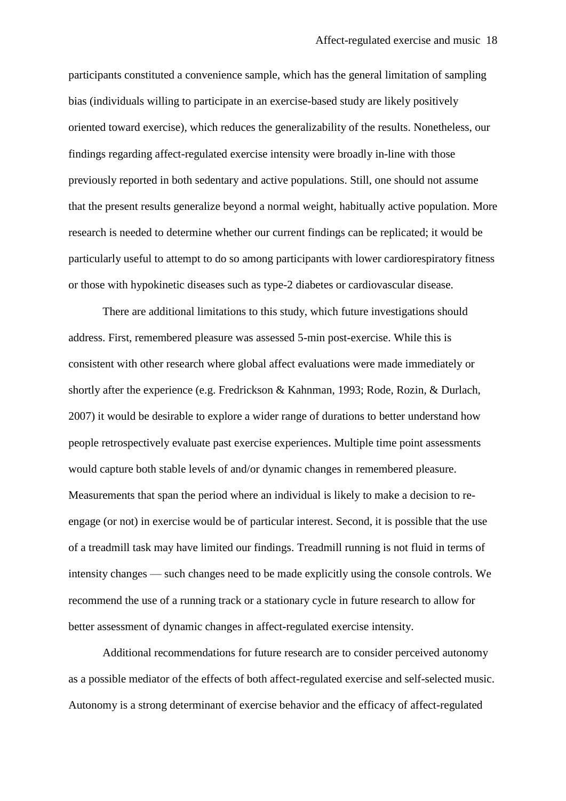participants constituted a convenience sample, which has the general limitation of sampling bias (individuals willing to participate in an exercise-based study are likely positively oriented toward exercise), which reduces the generalizability of the results. Nonetheless, our findings regarding affect-regulated exercise intensity were broadly in-line with those previously reported in both sedentary and active populations. Still, one should not assume that the present results generalize beyond a normal weight, habitually active population. More research is needed to determine whether our current findings can be replicated; it would be particularly useful to attempt to do so among participants with lower cardiorespiratory fitness or those with hypokinetic diseases such as type-2 diabetes or cardiovascular disease.

There are additional limitations to this study, which future investigations should address. First, remembered pleasure was assessed 5-min post-exercise. While this is consistent with other research where global affect evaluations were made immediately or shortly after the experience (e.g. Fredrickson & Kahnman, 1993; Rode, Rozin, & Durlach, 2007) it would be desirable to explore a wider range of durations to better understand how people retrospectively evaluate past exercise experiences*.* Multiple time point assessments would capture both stable levels of and/or dynamic changes in remembered pleasure. Measurements that span the period where an individual is likely to make a decision to reengage (or not) in exercise would be of particular interest. Second, it is possible that the use of a treadmill task may have limited our findings. Treadmill running is not fluid in terms of intensity changes — such changes need to be made explicitly using the console controls. We recommend the use of a running track or a stationary cycle in future research to allow for better assessment of dynamic changes in affect-regulated exercise intensity.

Additional recommendations for future research are to consider perceived autonomy as a possible mediator of the effects of both affect-regulated exercise and self-selected music. Autonomy is a strong determinant of exercise behavior and the efficacy of affect-regulated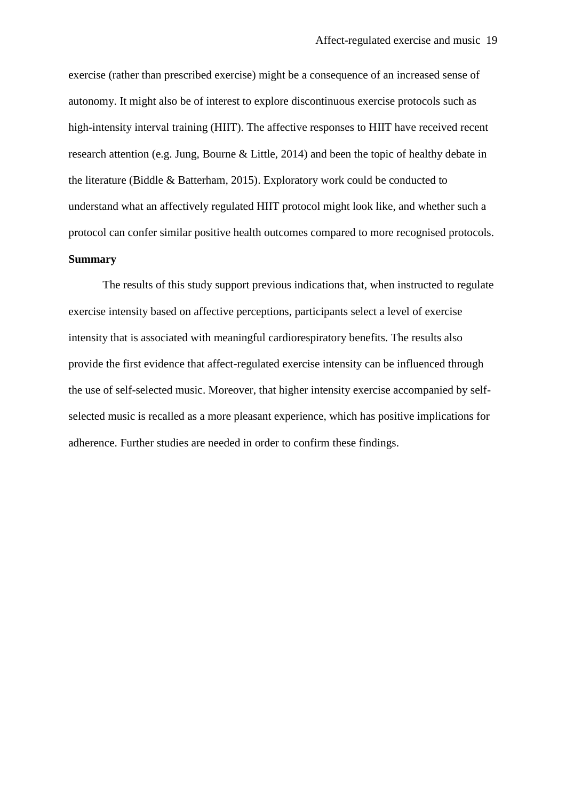exercise (rather than prescribed exercise) might be a consequence of an increased sense of autonomy. It might also be of interest to explore discontinuous exercise protocols such as high-intensity interval training (HIIT). The affective responses to HIIT have received recent research attention (e.g. Jung, Bourne & Little, 2014) and been the topic of healthy debate in the literature (Biddle & Batterham, 2015). Exploratory work could be conducted to understand what an affectively regulated HIIT protocol might look like, and whether such a protocol can confer similar positive health outcomes compared to more recognised protocols. **Summary**

The results of this study support previous indications that, when instructed to regulate exercise intensity based on affective perceptions, participants select a level of exercise intensity that is associated with meaningful cardiorespiratory benefits. The results also provide the first evidence that affect-regulated exercise intensity can be influenced through the use of self-selected music. Moreover, that higher intensity exercise accompanied by selfselected music is recalled as a more pleasant experience, which has positive implications for adherence. Further studies are needed in order to confirm these findings.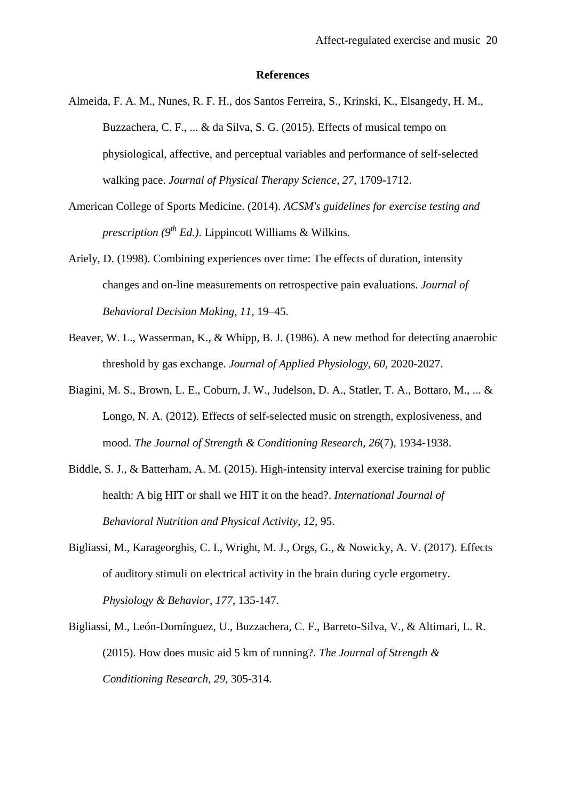#### **References**

- Almeida, F. A. M., Nunes, R. F. H., dos Santos Ferreira, S., Krinski, K., Elsangedy, H. M., Buzzachera, C. F., ... & da Silva, S. G. (2015). Effects of musical tempo on physiological, affective, and perceptual variables and performance of self-selected walking pace. *Journal of Physical Therapy Science*, *27*, 1709-1712.
- American College of Sports Medicine. (2014). *ACSM's guidelines for exercise testing and prescription (9th Ed.)*. Lippincott Williams & Wilkins.
- Ariely, D. (1998). Combining experiences over time: The effects of duration, intensity changes and on-line measurements on retrospective pain evaluations. *Journal of Behavioral Decision Making, 11,* 19–45.
- Beaver, W. L., Wasserman, K., & Whipp, B. J. (1986). A new method for detecting anaerobic threshold by gas exchange. *Journal of Applied Physiology*, *60*, 2020-2027.
- Biagini, M. S., Brown, L. E., Coburn, J. W., Judelson, D. A., Statler, T. A., Bottaro, M., ... & Longo, N. A. (2012). Effects of self-selected music on strength, explosiveness, and mood. *The Journal of Strength & Conditioning Research*, *26*(7), 1934-1938.
- Biddle, S. J., & Batterham, A. M. (2015). High-intensity interval exercise training for public health: A big HIT or shall we HIT it on the head?. *International Journal of Behavioral Nutrition and Physical Activity*, *12*, 95.
- Bigliassi, M., Karageorghis, C. I., Wright, M. J., Orgs, G., & Nowicky, A. V. (2017). Effects of auditory stimuli on electrical activity in the brain during cycle ergometry. *Physiology & Behavior*, *177*, 135-147.
- Bigliassi, M., León-Domínguez, U., Buzzachera, C. F., Barreto-Silva, V., & Altimari, L. R. (2015). How does music aid 5 km of running?. *The Journal of Strength & Conditioning Research*, *29*, 305-314.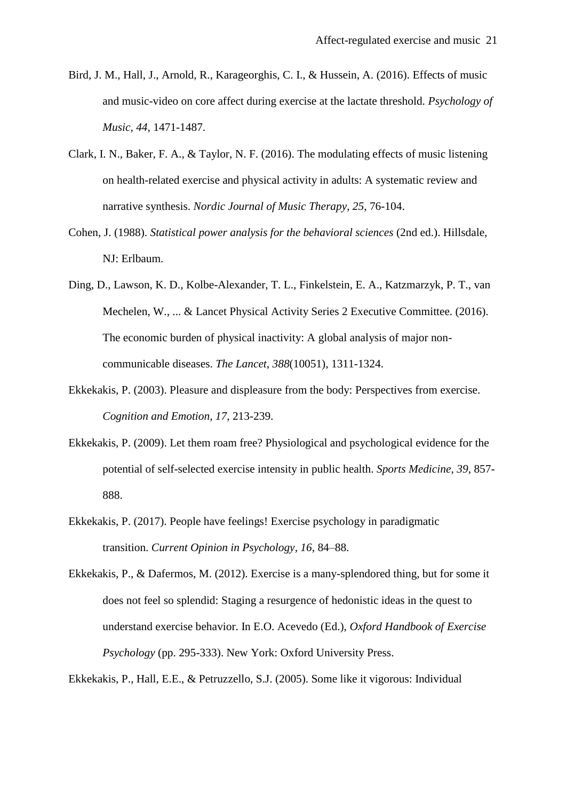- Bird, J. M., Hall, J., Arnold, R., Karageorghis, C. I., & Hussein, A. (2016). Effects of music and music-video on core affect during exercise at the lactate threshold. *Psychology of Music*, *44*, 1471-1487.
- Clark, I. N., Baker, F. A., & Taylor, N. F. (2016). The modulating effects of music listening on health-related exercise and physical activity in adults: A systematic review and narrative synthesis. *Nordic Journal of Music Therapy*, *25*, 76-104.
- Cohen, J. (1988). *Statistical power analysis for the behavioral sciences* (2nd ed.). Hillsdale, NJ: Erlbaum.
- Ding, D., Lawson, K. D., Kolbe-Alexander, T. L., Finkelstein, E. A., Katzmarzyk, P. T., van Mechelen, W., ... & Lancet Physical Activity Series 2 Executive Committee. (2016). The economic burden of physical inactivity: A global analysis of major noncommunicable diseases. *The Lancet*, *388*(10051), 1311-1324.
- Ekkekakis, P. (2003). Pleasure and displeasure from the body: Perspectives from exercise. *Cognition and Emotion*, *17*, 213-239.
- Ekkekakis, P. (2009). Let them roam free? Physiological and psychological evidence for the potential of self-selected exercise intensity in public health. *Sports Medicine*, *39*, 857- 888.
- Ekkekakis, P. (2017). People have feelings! Exercise psychology in paradigmatic transition. *Current Opinion in Psychology*, *16*, 84–88.
- Ekkekakis, P., & Dafermos, M. (2012). Exercise is a many-splendored thing, but for some it does not feel so splendid: Staging a resurgence of hedonistic ideas in the quest to understand exercise behavior. In E.O. Acevedo (Ed.), *Oxford Handbook of Exercise Psychology* (pp. 295-333). New York: Oxford University Press.

Ekkekakis, P., Hall, E.E., & Petruzzello, S.J. (2005). Some like it vigorous: Individual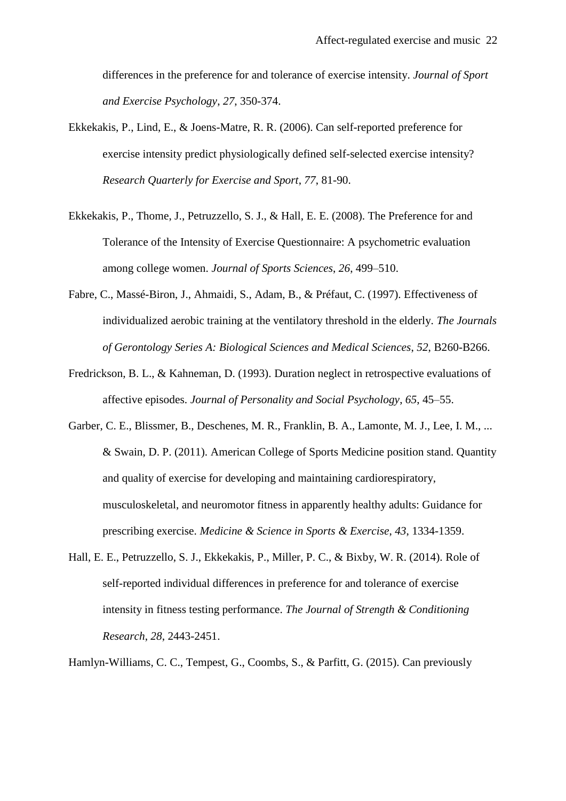differences in the preference for and tolerance of exercise intensity. *Journal of Sport and Exercise Psychology*, *27*, 350-374.

- Ekkekakis, P., Lind, E., & Joens-Matre, R. R. (2006). Can self-reported preference for exercise intensity predict physiologically defined self-selected exercise intensity? *Research Quarterly for Exercise and Sport*, *77*, 81-90.
- Ekkekakis, P., Thome, J., Petruzzello, S. J., & Hall, E. E. (2008). The Preference for and Tolerance of the Intensity of Exercise Questionnaire: A psychometric evaluation among college women. *Journal of Sports Sciences*, *26*, 499–510.
- Fabre, C., Massé-Biron, J., Ahmaidi, S., Adam, B., & Préfaut, C. (1997). Effectiveness of individualized aerobic training at the ventilatory threshold in the elderly. *The Journals of Gerontology Series A: Biological Sciences and Medical Sciences*, *52*, B260-B266.
- Fredrickson, B. L., & Kahneman, D. (1993). Duration neglect in retrospective evaluations of affective episodes. *Journal of Personality and Social Psychology*, *65*, 45–55.
- Garber, C. E., Blissmer, B., Deschenes, M. R., Franklin, B. A., Lamonte, M. J., Lee, I. M., ... & Swain, D. P. (2011). American College of Sports Medicine position stand. Quantity and quality of exercise for developing and maintaining cardiorespiratory, musculoskeletal, and neuromotor fitness in apparently healthy adults: Guidance for prescribing exercise. *Medicine & Science in Sports & Exercise*, *43*, 1334-1359.
- Hall, E. E., Petruzzello, S. J., Ekkekakis, P., Miller, P. C., & Bixby, W. R. (2014). Role of self-reported individual differences in preference for and tolerance of exercise intensity in fitness testing performance. *The Journal of Strength & Conditioning Research*, *28*, 2443-2451.

Hamlyn-Williams, C. C., Tempest, G., Coombs, S., & Parfitt, G. (2015). Can previously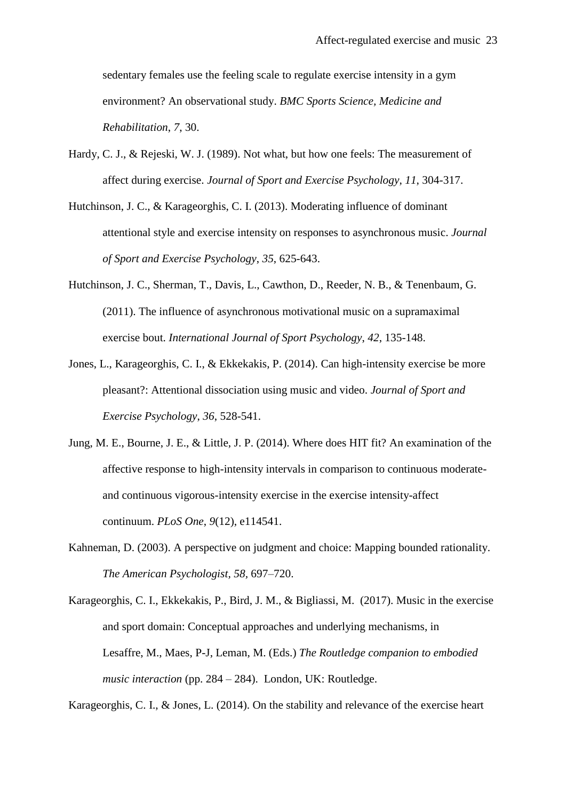sedentary females use the feeling scale to regulate exercise intensity in a gym environment? An observational study. *BMC Sports Science, Medicine and Rehabilitation*, *7*, 30.

- Hardy, C. J., & Rejeski, W. J. (1989). Not what, but how one feels: The measurement of affect during exercise. *Journal of Sport and Exercise Psychology*, *11*, 304-317.
- Hutchinson, J. C., & Karageorghis, C. I. (2013). Moderating influence of dominant attentional style and exercise intensity on responses to asynchronous music. *Journal of Sport and Exercise Psychology*, *35*, 625-643.
- Hutchinson, J. C., Sherman, T., Davis, L., Cawthon, D., Reeder, N. B., & Tenenbaum, G. (2011). The influence of asynchronous motivational music on a supramaximal exercise bout. *International Journal of Sport Psychology*, *42*, 135-148.
- Jones, L., Karageorghis, C. I., & Ekkekakis, P. (2014). Can high-intensity exercise be more pleasant?: Attentional dissociation using music and video. *Journal of Sport and Exercise Psychology*, *36*, 528-541.
- Jung, M. E., Bourne, J. E., & Little, J. P. (2014). Where does HIT fit? An examination of the affective response to high-intensity intervals in comparison to continuous moderateand continuous vigorous-intensity exercise in the exercise intensity-affect continuum. *PLoS One*, *9*(12), e114541.
- Kahneman, D. (2003). A perspective on judgment and choice: Mapping bounded rationality. *The American Psychologist, 58,* 697–720.
- Karageorghis, C. I., Ekkekakis, P., Bird, J. M., & Bigliassi, M. (2017). Music in the exercise and sport domain: Conceptual approaches and underlying mechanisms, in Lesaffre, M., Maes, P-J, Leman, M. (Eds.) *The Routledge companion to embodied music interaction* (pp. 284 – 284). London, UK: Routledge.

Karageorghis, C. I., & Jones, L. (2014). On the stability and relevance of the exercise heart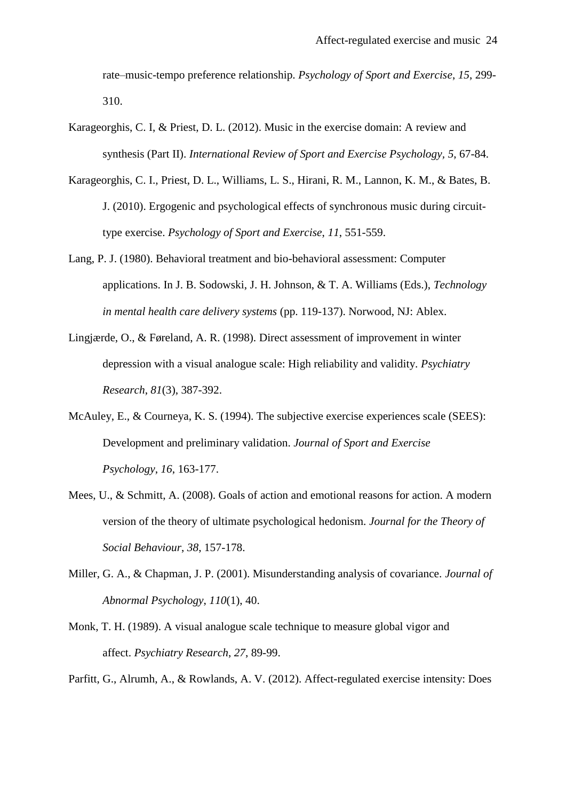rate–music-tempo preference relationship. *Psychology of Sport and Exercise*, *15*, 299- 310.

- Karageorghis, C. I, & Priest, D. L. (2012). Music in the exercise domain: A review and synthesis (Part II). *International Review of Sport and Exercise Psychology, 5*, 67-84.
- Karageorghis, C. I., Priest, D. L., Williams, L. S., Hirani, R. M., Lannon, K. M., & Bates, B. J. (2010). Ergogenic and psychological effects of synchronous music during circuittype exercise. *Psychology of Sport and Exercise*, *11*, 551-559.
- Lang, P. J. (1980). Behavioral treatment and bio-behavioral assessment: Computer applications. In J. B. Sodowski, J. H. Johnson, & T. A. Williams (Eds.), *Technology in mental health care delivery systems* (pp. 119-137). Norwood, NJ: Ablex.
- Lingjærde, O., & Føreland, A. R. (1998). Direct assessment of improvement in winter depression with a visual analogue scale: High reliability and validity. *Psychiatry Research*, *81*(3), 387-392.
- McAuley, E., & Courneya, K. S. (1994). The subjective exercise experiences scale (SEES): Development and preliminary validation. *Journal of Sport and Exercise Psychology*, *16*, 163-177.
- Mees, U., & Schmitt, A. (2008). Goals of action and emotional reasons for action. A modern version of the theory of ultimate psychological hedonism. *Journal for the Theory of Social Behaviour*, *38*, 157-178.
- Miller, G. A., & Chapman, J. P. (2001). Misunderstanding analysis of covariance. *Journal of Abnormal Psychology*, *110*(1), 40.
- Monk, T. H. (1989). A visual analogue scale technique to measure global vigor and affect. *Psychiatry Research*, *27*, 89-99.

Parfitt, G., Alrumh, A., & Rowlands, A. V. (2012). Affect-regulated exercise intensity: Does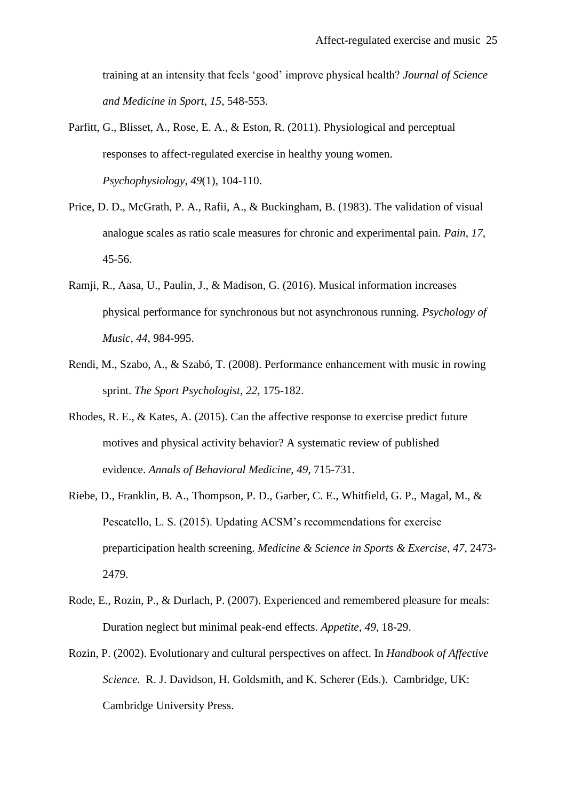training at an intensity that feels 'good' improve physical health? *Journal of Science and Medicine in Sport*, *15*, 548-553.

- Parfitt, G., Blisset, A., Rose, E. A., & Eston, R. (2011). Physiological and perceptual responses to affect‐regulated exercise in healthy young women. *Psychophysiology*, *49*(1), 104-110.
- Price, D. D., McGrath, P. A., Rafii, A., & Buckingham, B. (1983). The validation of visual analogue scales as ratio scale measures for chronic and experimental pain. *Pain*, *17*, 45-56.
- Ramji, R., Aasa, U., Paulin, J., & Madison, G. (2016). Musical information increases physical performance for synchronous but not asynchronous running. *Psychology of Music*, *44*, 984-995.
- Rendi, M., Szabo, A., & Szabó, T. (2008). Performance enhancement with music in rowing sprint. *The Sport Psychologist*, *22*, 175-182.
- Rhodes, R. E., & Kates, A. (2015). Can the affective response to exercise predict future motives and physical activity behavior? A systematic review of published evidence. *Annals of Behavioral Medicine*, *49*, 715-731.
- Riebe, D., Franklin, B. A., Thompson, P. D., Garber, C. E., Whitfield, G. P., Magal, M., & Pescatello, L. S. (2015). Updating ACSM's recommendations for exercise preparticipation health screening. *Medicine & Science in Sports & Exercise*, *47*, 2473- 2479.
- Rode, E., Rozin, P., & Durlach, P. (2007). Experienced and remembered pleasure for meals: Duration neglect but minimal peak-end effects. *Appetite, 49*, 18-29.
- Rozin, P. (2002). Evolutionary and cultural perspectives on affect. In *Handbook of Affective Science*. R. J. Davidson, H. Goldsmith, and K. Scherer (Eds.). Cambridge, UK: Cambridge University Press.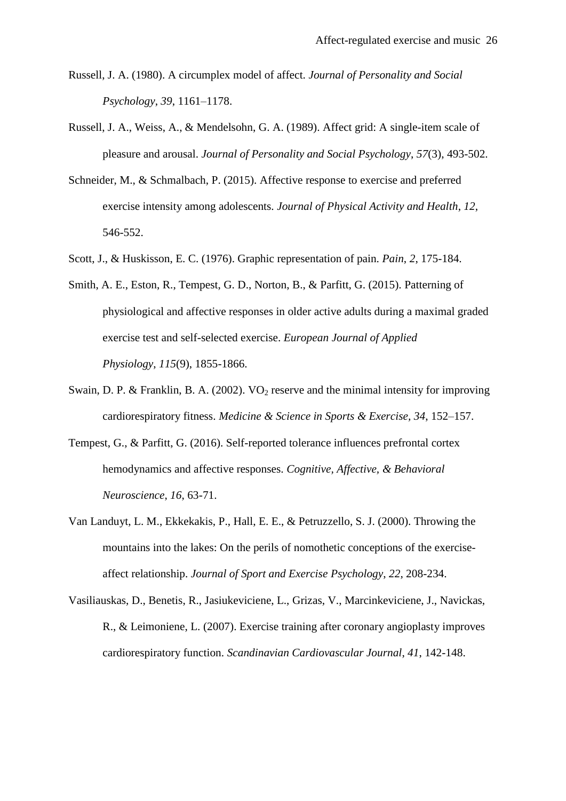- Russell, J. A. (1980). A circumplex model of affect. *Journal of Personality and Social Psychology*, *39*, 1161–1178.
- Russell, J. A., Weiss, A., & Mendelsohn, G. A. (1989). Affect grid: A single-item scale of pleasure and arousal. *Journal of Personality and Social Psychology*, *57*(3), 493-502.
- Schneider, M., & Schmalbach, P. (2015). Affective response to exercise and preferred exercise intensity among adolescents. *Journal of Physical Activity and Health*, *12*, 546-552.
- Scott, J., & Huskisson, E. C. (1976). Graphic representation of pain. *Pain*, *2*, 175-184.
- Smith, A. E., Eston, R., Tempest, G. D., Norton, B., & Parfitt, G. (2015). Patterning of physiological and affective responses in older active adults during a maximal graded exercise test and self-selected exercise. *European Journal of Applied Physiology*, *115*(9), 1855-1866.
- Swain, D. P. & Franklin, B. A. (2002). VO<sub>2</sub> reserve and the minimal intensity for improving cardiorespiratory fitness. *Medicine & Science in Sports & Exercise, 34*, 152–157.
- Tempest, G., & Parfitt, G. (2016). Self-reported tolerance influences prefrontal cortex hemodynamics and affective responses. *Cognitive, Affective, & Behavioral Neuroscience*, *16*, 63-71.
- Van Landuyt, L. M., Ekkekakis, P., Hall, E. E., & Petruzzello, S. J. (2000). Throwing the mountains into the lakes: On the perils of nomothetic conceptions of the exerciseaffect relationship. *Journal of Sport and Exercise Psychology*, *22*, 208-234.
- Vasiliauskas, D., Benetis, R., Jasiukeviciene, L., Grizas, V., Marcinkeviciene, J., Navickas, R., & Leimoniene, L. (2007). Exercise training after coronary angioplasty improves cardiorespiratory function. *Scandinavian Cardiovascular Journal*, *41*, 142-148.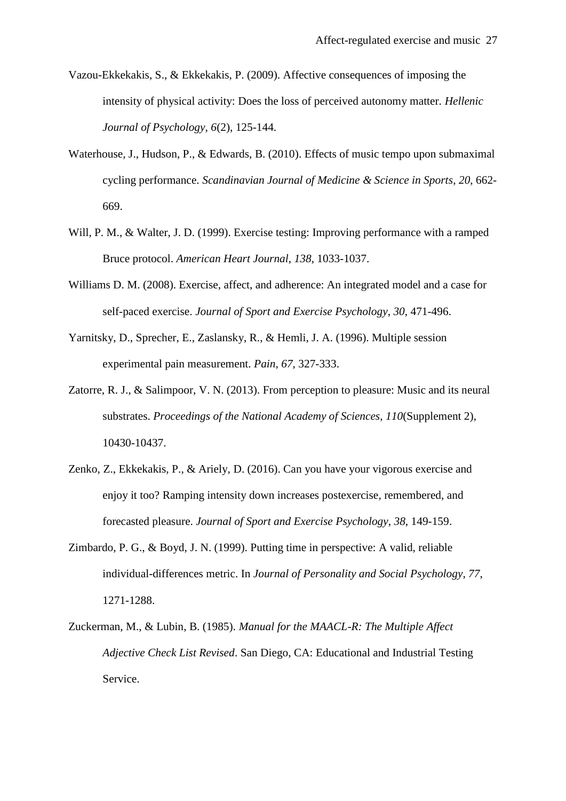- Vazou-Ekkekakis, S., & Ekkekakis, P. (2009). Affective consequences of imposing the intensity of physical activity: Does the loss of perceived autonomy matter. *Hellenic Journal of Psychology*, *6*(2), 125-144.
- Waterhouse, J., Hudson, P., & Edwards, B. (2010). Effects of music tempo upon submaximal cycling performance. *Scandinavian Journal of Medicine & Science in Sports*, *20*, 662- 669.
- Will, P. M., & Walter, J. D. (1999). Exercise testing: Improving performance with a ramped Bruce protocol. *American Heart Journal*, *138*, 1033-1037.
- Williams D. M. (2008). Exercise, affect, and adherence: An integrated model and a case for self-paced exercise. *Journal of Sport and Exercise Psychology*, *30*, 471-496.
- Yarnitsky, D., Sprecher, E., Zaslansky, R., & Hemli, J. A. (1996). Multiple session experimental pain measurement. *Pain*, *67*, 327-333.
- Zatorre, R. J., & Salimpoor, V. N. (2013). From perception to pleasure: Music and its neural substrates. *Proceedings of the National Academy of Sciences*, *110*(Supplement 2), 10430-10437.
- Zenko, Z., Ekkekakis, P., & Ariely, D. (2016). Can you have your vigorous exercise and enjoy it too? Ramping intensity down increases postexercise, remembered, and forecasted pleasure. *Journal of Sport and Exercise Psychology*, *38*, 149-159.
- Zimbardo, P. G., & Boyd, J. N. (1999). Putting time in perspective: A valid, reliable individual-differences metric. In *Journal of Personality and Social Psychology, 77*, 1271-1288.
- Zuckerman, M., & Lubin, B. (1985). *Manual for the MAACL-R: The Multiple Affect Adjective Check List Revised*. San Diego, CA: Educational and Industrial Testing Service.